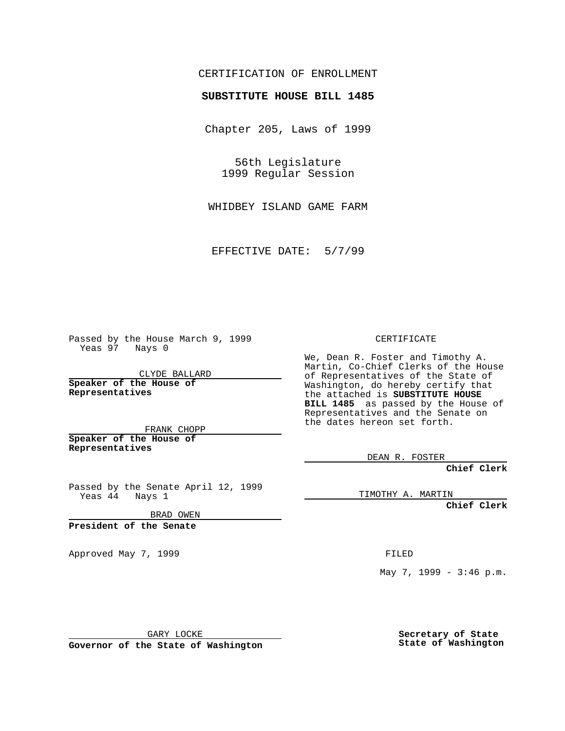## CERTIFICATION OF ENROLLMENT

## **SUBSTITUTE HOUSE BILL 1485**

Chapter 205, Laws of 1999

56th Legislature 1999 Regular Session

WHIDBEY ISLAND GAME FARM

EFFECTIVE DATE: 5/7/99

Passed by the House March 9, 1999 Yeas 97 Nays 0

CLYDE BALLARD **Speaker of the House of Representatives**

FRANK CHOPP **Speaker of the House of Representatives**

Passed by the Senate April 12, 1999 Yeas 44 Nays 1

BRAD OWEN

**President of the Senate**

Approved May 7, 1999 **FILED** 

CERTIFICATE

We, Dean R. Foster and Timothy A. Martin, Co-Chief Clerks of the House of Representatives of the State of Washington, do hereby certify that the attached is **SUBSTITUTE HOUSE BILL 1485** as passed by the House of Representatives and the Senate on the dates hereon set forth.

DEAN R. FOSTER

**Chief Clerk**

TIMOTHY A. MARTIN

**Chief Clerk**

May 7, 1999 - 3:46 p.m.

GARY LOCKE

**Governor of the State of Washington**

**Secretary of State State of Washington**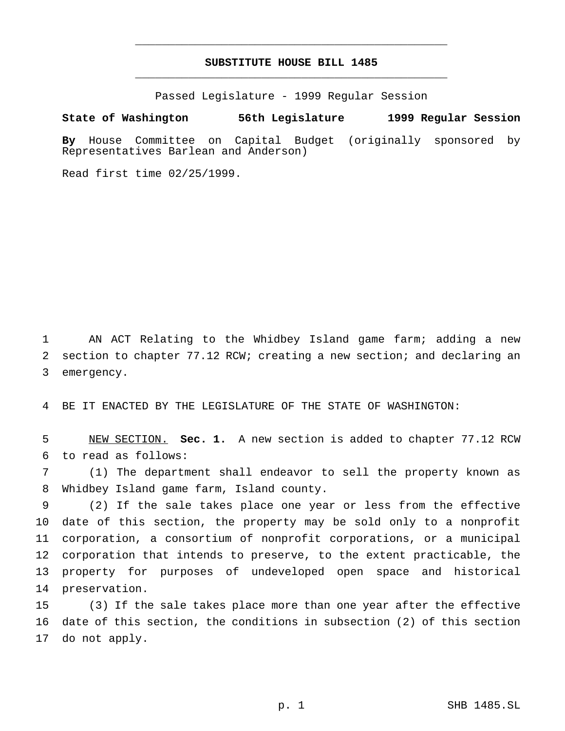## **SUBSTITUTE HOUSE BILL 1485** \_\_\_\_\_\_\_\_\_\_\_\_\_\_\_\_\_\_\_\_\_\_\_\_\_\_\_\_\_\_\_\_\_\_\_\_\_\_\_\_\_\_\_\_\_\_\_

\_\_\_\_\_\_\_\_\_\_\_\_\_\_\_\_\_\_\_\_\_\_\_\_\_\_\_\_\_\_\_\_\_\_\_\_\_\_\_\_\_\_\_\_\_\_\_

Passed Legislature - 1999 Regular Session

## **State of Washington 56th Legislature 1999 Regular Session**

**By** House Committee on Capital Budget (originally sponsored by Representatives Barlean and Anderson)

Read first time 02/25/1999.

 AN ACT Relating to the Whidbey Island game farm; adding a new section to chapter 77.12 RCW; creating a new section; and declaring an emergency.

BE IT ENACTED BY THE LEGISLATURE OF THE STATE OF WASHINGTON:

 NEW SECTION. **Sec. 1.** A new section is added to chapter 77.12 RCW to read as follows:

 (1) The department shall endeavor to sell the property known as Whidbey Island game farm, Island county.

 (2) If the sale takes place one year or less from the effective date of this section, the property may be sold only to a nonprofit corporation, a consortium of nonprofit corporations, or a municipal corporation that intends to preserve, to the extent practicable, the property for purposes of undeveloped open space and historical preservation.

 (3) If the sale takes place more than one year after the effective date of this section, the conditions in subsection (2) of this section do not apply.